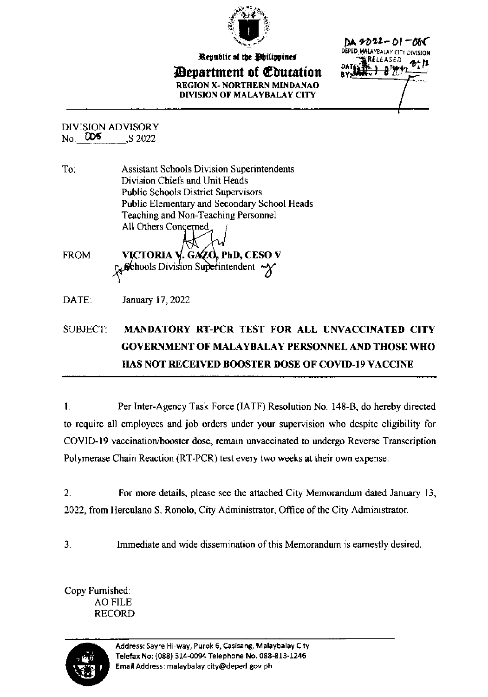

Republic of the Philippines

*Bepartment of Education* REGION X- NORTHERN MINDANAO DIVISION OF MALAYBALAY CITY

DA 2022-01-005 DEPED MALAYBALAY CITY DIVISION RELEASED ∄'ፇነፇ≀

**DIVISION ADVISORY**  $No.$   $DO5$ S 2022

**Assistant Schools Division Superintendents** To: Division Chiefs and Unit Heads **Public Schools District Supervisors** Public Elementary and Secondary School Heads Teaching and Non-Teaching Personnel All Others Concerned FROM: . GAZO, PhD, CESO V VICTORIA V Gehools Division Superintendent

DATE: January 17, 2022

## **SUBJECT:** MANDATORY RT-PCR TEST FOR ALL UNVACCINATED CITY **GOVERNMENT OF MALAYBALAY PERSONNEL AND THOSE WHO HAS NOT RECEIVED BOOSTER DOSE OF COVID-19 VACCINE**

Per Inter-Agency Task Force (IATF) Resolution No. 148-B, do hereby directed  $\mathbf{1}$ . to require all employees and job orders under your supervision who despite eligibility for COVID-19 vaccination/booster dose, remain unvaccinated to undergo Reverse Transcription Polymerase Chain Reaction (RT-PCR) test every two weeks at their own expense.

 $\overline{2}$ . For more details, please see the attached City Memorandum dated January 13, 2022, from Herculano S. Ronolo, City Administrator, Office of the City Administrator.

 $\overline{3}$ . Immediate and wide dissemination of this Memorandum is earnestly desired.

Copy Furnished: **AO FILE RECORD** 

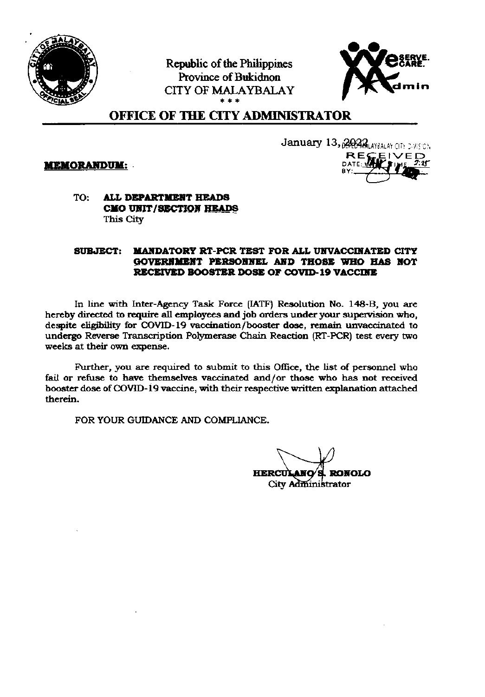

Republic of the Philippines Province of Bukidnon **CITY OF MALAYBALAY** 



# **OFFICE OF THE CITY ADMINISTRATOR**

**MEMORANDUM:** 



#### ALL DEPARTMENT HEADS TO: CMO UNIT/SECTION HEADS This City

#### **MANDATORY RT-PCR TEST FOR ALL UNVACCINATED CITY SUBJECT:** GOVERNMENT PERSONNEL AND THOSE WHO HAS NOT RECEIVED BOOSTER DOSE OF COVID-19 VACCINE

In line with Inter-Agency Task Force (IATF) Resolution No. 148-B, you are hereby directed to require all employees and job orders under your supervision who, despite eligibility for COVID-19 vaccination/booster dose, remain unvaccinated to undergo Reverse Transcription Polymerase Chain Reaction (RT-PCR) test every two weeks at their own expense.

Further, you are required to submit to this Office, the list of personnel who fail or refuse to have themselves vaccinated and/or those who has not received booster dose of COVID-19 vaccine, with their respective written explanation attached therein.

FOR YOUR GUIDANCE AND COMPLIANCE.

**HERCUI RONOLO** City Administrator